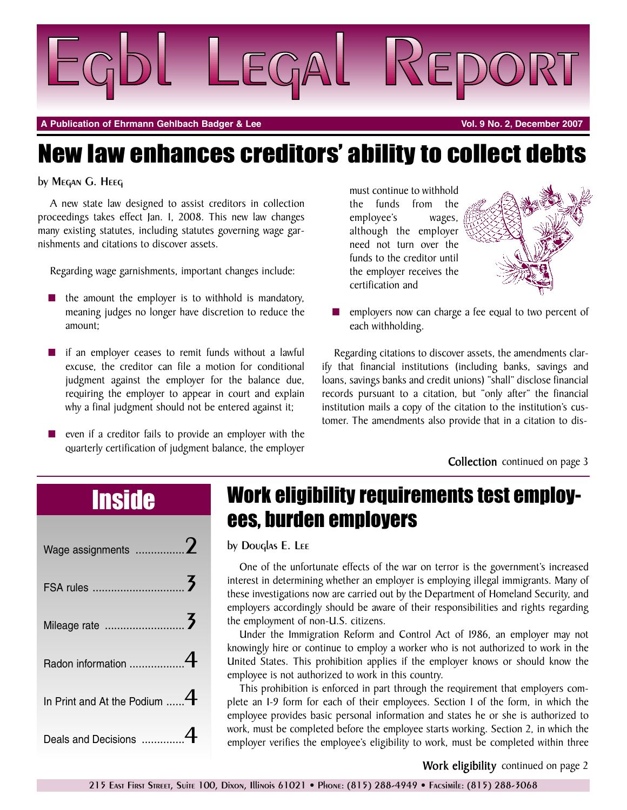

**A Publication of Ehrmann Gehlbach Badger & Lee Vol. 9 No. 2, December 2007**

# New law enhances creditors' ability to collect debts

### by Megan G. Heeg

A new state law designed to assist creditors in collection proceedings takes effect Jan. 1, 2008. This new law changes many existing statutes, including statutes governing wage garnishments and citations to discover assets.

Regarding wage garnishments, important changes include:

- **■** the amount the employer is to withhold is mandatory, meaning judges no longer have discretion to reduce the amount;
- if an employer ceases to remit funds without a lawful excuse, the creditor can file a motion for conditional judgment against the employer for the balance due, requiring the employer to appear in court and explain why a final judgment should not be entered against it;
- even if a creditor fails to provide an employer with the quarterly certification of judgment balance, the employer

must continue to withhold the funds from the employee's wages, although the employer need not turn over the funds to the creditor until the employer receives the certification and



employers now can charge a fee equal to two percent of each withholding.

Regarding citations to discover assets, the amendments clarify that financial institutions (including banks, savings and loans, savings banks and credit unions) "shall" disclose financial records pursuant to a citation, but "only after" the financial institution mails a copy of the citation to the institution's customer. The amendments also provide that in a citation to dis-

**Collection** continued on page 3

| Wage assignments $\ldots$ 2  |  |
|------------------------------|--|
|                              |  |
|                              |  |
| Radon information 4          |  |
| In Print and At the Podium 4 |  |
| Deals and Decisions          |  |

## Work eligibility requirements test employees, burden employers

by Douglas E. Lee

One of the unfortunate effects of the war on terror is the government's increased interest in determining whether an employer is employing illegal immigrants. Many of these investigations now are carried out by the Department of Homeland Security, and employers accordingly should be aware of their responsibilities and rights regarding the employment of non-U.S. citizens.

Under the Immigration Reform and Control Act of 1986, an employer may not knowingly hire or continue to employ a worker who is not authorized to work in the United States. This prohibition applies if the employer knows or should know the employee is not authorized to work in this country.

This prohibition is enforced in part through the requirement that employers complete an I-9 form for each of their employees. Section 1 of the form, in which the employee provides basic personal information and states he or she is authorized to work, must be completed before the employee starts working. Section 2, in which the employer verifies the employee's eligibility to work, must be completed within three

**Work eligibility** continued on page 2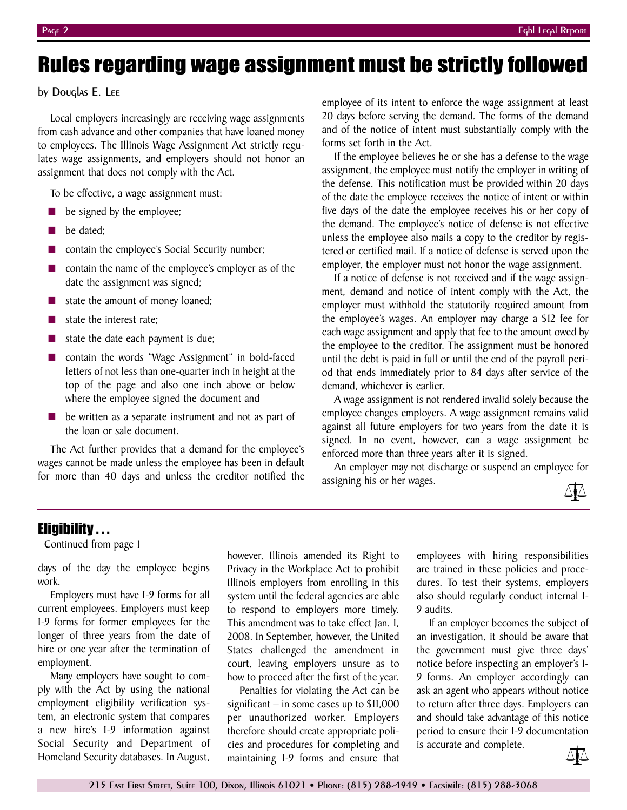## Rules regarding wage assignment must be strictly followed

### by Douglas E. Lee

Local employers increasingly are receiving wage assignments from cash advance and other companies that have loaned money to employees. The Illinois Wage Assignment Act strictly regulates wage assignments, and employers should not honor an assignment that does not comply with the Act.

To be effective, a wage assignment must:

- be signed by the employee;
- **■** be dated;
- contain the employee's Social Security number;
- contain the name of the employee's employer as of the date the assignment was signed;
- state the amount of money loaned;
- state the interest rate;
- **■** state the date each payment is due;
- **■** contain the words "Wage Assignment" in bold-faced letters of not less than one-quarter inch in height at the top of the page and also one inch above or below where the employee signed the document and
- be written as a separate instrument and not as part of the loan or sale document.

The Act further provides that a demand for the employee's wages cannot be made unless the employee has been in default for more than 40 days and unless the creditor notified the employee of its intent to enforce the wage assignment at least 20 days before serving the demand. The forms of the demand and of the notice of intent must substantially comply with the forms set forth in the Act.

If the employee believes he or she has a defense to the wage assignment, the employee must notify the employer in writing of the defense. This notification must be provided within 20 days of the date the employee receives the notice of intent or within five days of the date the employee receives his or her copy of the demand. The employee's notice of defense is not effective unless the employee also mails a copy to the creditor by registered or certified mail. If a notice of defense is served upon the employer, the employer must not honor the wage assignment.

If a notice of defense is not received and if the wage assignment, demand and notice of intent comply with the Act, the employer must withhold the statutorily required amount from the employee's wages. An employer may charge a \$12 fee for each wage assignment and apply that fee to the amount owed by the employee to the creditor. The assignment must be honored until the debt is paid in full or until the end of the payroll period that ends immediately prior to 84 days after service of the demand, whichever is earlier.

A wage assignment is not rendered invalid solely because the employee changes employers. A wage assignment remains valid against all future employers for two years from the date it is signed. In no event, however, can a wage assignment be enforced more than three years after it is signed.

An employer may not discharge or suspend an employee for assigning his or her wages.



### Eligibility . . .

Continued from page 1

days of the day the employee begins work.

Employers must have I-9 forms for all current employees. Employers must keep I-9 forms for former employees for the longer of three years from the date of hire or one year after the termination of employment.

Many employers have sought to comply with the Act by using the national employment eligibility verification system, an electronic system that compares a new hire's I-9 information against Social Security and Department of Homeland Security databases. In August,

however, Illinois amended its Right to Privacy in the Workplace Act to prohibit Illinois employers from enrolling in this system until the federal agencies are able to respond to employers more timely. This amendment was to take effect Jan. 1, 2008. In September, however, the United States challenged the amendment in court, leaving employers unsure as to how to proceed after the first of the year.

Penalties for violating the Act can be significant – in some cases up to \$11,000 per unauthorized worker. Employers therefore should create appropriate policies and procedures for completing and maintaining I-9 forms and ensure that employees with hiring responsibilities are trained in these policies and procedures. To test their systems, employers also should regularly conduct internal I-9 audits.

If an employer becomes the subject of an investigation, it should be aware that the government must give three days' notice before inspecting an employer's I-9 forms. An employer accordingly can ask an agent who appears without notice to return after three days. Employers can and should take advantage of this notice period to ensure their I-9 documentation is accurate and complete.

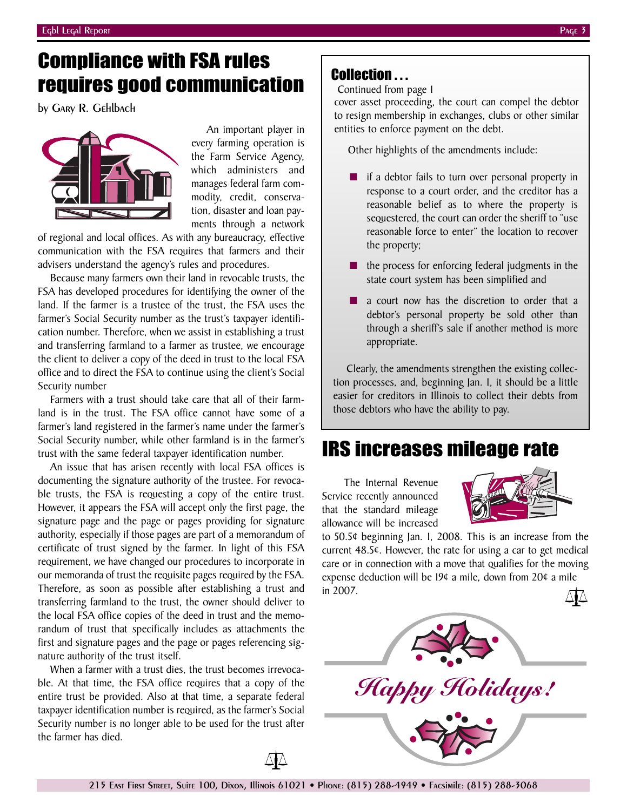## Compliance with FSA rules requires good communication

by Gary R. Gehlbach



An important player in every farming operation is the Farm Service Agency, which administers and manages federal farm commodity, credit, conservation, disaster and loan payments through a network

of regional and local offices. As with any bureaucracy, effective communication with the FSA requires that farmers and their advisers understand the agency's rules and procedures.

Because many farmers own their land in revocable trusts, the FSA has developed procedures for identifying the owner of the land. If the farmer is a trustee of the trust, the FSA uses the farmer's Social Security number as the trust's taxpayer identification number. Therefore, when we assist in establishing a trust and transferring farmland to a farmer as trustee, we encourage the client to deliver a copy of the deed in trust to the local FSA office and to direct the FSA to continue using the client's Social Security number

Farmers with a trust should take care that all of their farmland is in the trust. The FSA office cannot have some of a farmer's land registered in the farmer's name under the farmer's Social Security number, while other farmland is in the farmer's trust with the same federal taxpayer identification number.

An issue that has arisen recently with local FSA offices is documenting the signature authority of the trustee. For revocable trusts, the FSA is requesting a copy of the entire trust. However, it appears the FSA will accept only the first page, the signature page and the page or pages providing for signature authority, especially if those pages are part of a memorandum of certificate of trust signed by the farmer. In light of this FSA requirement, we have changed our procedures to incorporate in our memoranda of trust the requisite pages required by the FSA. Therefore, as soon as possible after establishing a trust and transferring farmland to the trust, the owner should deliver to the local FSA office copies of the deed in trust and the memorandum of trust that specifically includes as attachments the first and signature pages and the page or pages referencing signature authority of the trust itself.

When a farmer with a trust dies, the trust becomes irrevocable. At that time, the FSA office requires that a copy of the entire trust be provided. Also at that time, a separate federal taxpayer identification number is required, as the farmer's Social Security number is no longer able to be used for the trust after the farmer has died.

### Collection . . .

Continued from page 1

cover asset proceeding, the court can compel the debtor to resign membership in exchanges, clubs or other similar entities to enforce payment on the debt.

Other highlights of the amendments include:

- if a debtor fails to turn over personal property in response to a court order, and the creditor has a reasonable belief as to where the property is sequestered, the court can order the sheriff to "use reasonable force to enter" the location to recover the property;
- the process for enforcing federal judgments in the state court system has been simplified and
- a court now has the discretion to order that a debtor's personal property be sold other than through a sheriff's sale if another method is more appropriate.

Clearly, the amendments strengthen the existing collection processes, and, beginning Jan. 1, it should be a little easier for creditors in Illinois to collect their debts from those debtors who have the ability to pay.

## IRS increases mileage rate

The Internal Revenue Service recently announced that the standard mileage allowance will be increased



to 50.5¢ beginning Jan. 1, 2008. This is an increase from the current 48.5¢. However, the rate for using a car to get medical care or in connection with a move that qualifies for the moving expense deduction will be 19¢ a mile, down from 20¢ a mile in 2007. ∆∆